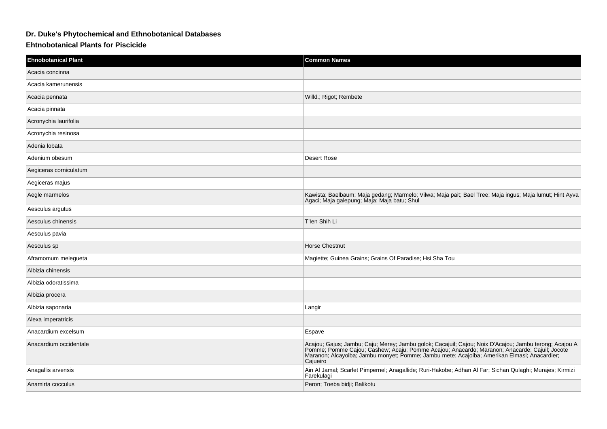## **Dr. Duke's Phytochemical and Ethnobotanical Databases**

## **Ehtnobotanical Plants for Piscicide**

| <b>Ehnobotanical Plant</b> | <b>Common Names</b>                                                                                                                                                                                                                                                                                               |
|----------------------------|-------------------------------------------------------------------------------------------------------------------------------------------------------------------------------------------------------------------------------------------------------------------------------------------------------------------|
| Acacia concinna            |                                                                                                                                                                                                                                                                                                                   |
| Acacia kamerunensis        |                                                                                                                                                                                                                                                                                                                   |
| Acacia pennata             | Willd.; Rigot; Rembete                                                                                                                                                                                                                                                                                            |
| Acacia pinnata             |                                                                                                                                                                                                                                                                                                                   |
| Acronychia laurifolia      |                                                                                                                                                                                                                                                                                                                   |
| Acronychia resinosa        |                                                                                                                                                                                                                                                                                                                   |
| Adenia lobata              |                                                                                                                                                                                                                                                                                                                   |
| Adenium obesum             | Desert Rose                                                                                                                                                                                                                                                                                                       |
| Aegiceras corniculatum     |                                                                                                                                                                                                                                                                                                                   |
| Aegiceras majus            |                                                                                                                                                                                                                                                                                                                   |
| Aegle marmelos             | Kawista; Baelbaum; Maja gedang; Marmelo; Vilwa; Maja pait; Bael Tree; Maja ingus; Maja lumut; Hint Ayva<br>Agaci; Maja galepung; Maja; Maja batu; Shul                                                                                                                                                            |
| Aesculus argutus           |                                                                                                                                                                                                                                                                                                                   |
| Aesculus chinensis         | T'len Shih Li                                                                                                                                                                                                                                                                                                     |
| Aesculus pavia             |                                                                                                                                                                                                                                                                                                                   |
| Aesculus sp                | <b>Horse Chestnut</b>                                                                                                                                                                                                                                                                                             |
| Aframomum melegueta        | Magiette; Guinea Grains; Grains Of Paradise; Hsi Sha Tou                                                                                                                                                                                                                                                          |
| Albizia chinensis          |                                                                                                                                                                                                                                                                                                                   |
| Albizia odoratissima       |                                                                                                                                                                                                                                                                                                                   |
| Albizia procera            |                                                                                                                                                                                                                                                                                                                   |
| Albizia saponaria          | Langir                                                                                                                                                                                                                                                                                                            |
| Alexa imperatricis         |                                                                                                                                                                                                                                                                                                                   |
| Anacardium excelsum        | Espave                                                                                                                                                                                                                                                                                                            |
| Anacardium occidentale     | Acajou; Gajus; Jambu; Caju; Merey; Jambu golok; Cacajuil; Cajou; Noix D'Acajou; Jambu terong; Acajou A<br>Pomme; Pomme Cajou; Cashew; Acaju; Pomme Acajou; Anacardo; Maranon; Anacarde; Cajuil; Jocote<br>Maranon; Alcayoiba; Jambu monyet; Pomme; Jambu mete; Acajoiba; Amerikan Elmasi; Anacardier;<br>Cajueiro |
| Anagallis arvensis         | Ain Al Jamal; Scarlet Pimpernel; Anagallide; Ruri-Hakobe; Adhan Al Far; Sichan Qulaghi; Murajes; Kirmizi<br>Farekulagi                                                                                                                                                                                            |
| Anamirta cocculus          | Peron; Toeba bidji; Balikotu                                                                                                                                                                                                                                                                                      |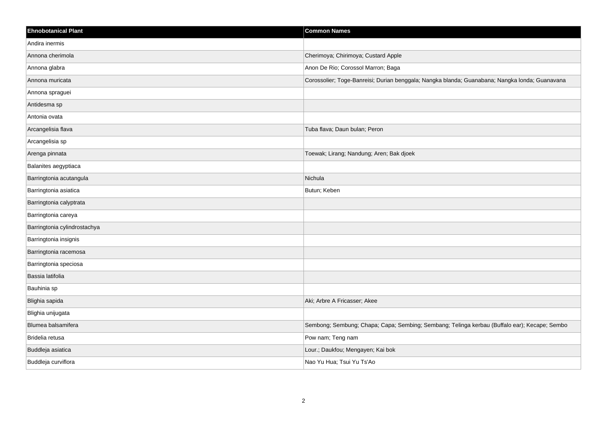| <b>Ehnobotanical Plant</b>   | <b>Common Names</b>                                                                            |
|------------------------------|------------------------------------------------------------------------------------------------|
| Andira inermis               |                                                                                                |
| Annona cherimola             | Cherimoya; Chirimoya; Custard Apple                                                            |
| Annona glabra                | Anon De Rio; Corossol Marron; Baga                                                             |
| Annona muricata              | Corossolier; Toge-Banreisi; Durian benggala; Nangka blanda; Guanabana; Nangka londa; Guanavana |
| Annona spraguei              |                                                                                                |
| Antidesma sp                 |                                                                                                |
| Antonia ovata                |                                                                                                |
| Arcangelisia flava           | Tuba flava; Daun bulan; Peron                                                                  |
| Arcangelisia sp              |                                                                                                |
| Arenga pinnata               | Toewak; Lirang; Nandung; Aren; Bak djoek                                                       |
| Balanites aegyptiaca         |                                                                                                |
| Barringtonia acutangula      | Nichula                                                                                        |
| Barringtonia asiatica        | Butun; Keben                                                                                   |
| Barringtonia calyptrata      |                                                                                                |
| Barringtonia careya          |                                                                                                |
| Barringtonia cylindrostachya |                                                                                                |
| Barringtonia insignis        |                                                                                                |
| Barringtonia racemosa        |                                                                                                |
| Barringtonia speciosa        |                                                                                                |
| Bassia latifolia             |                                                                                                |
| Bauhinia sp                  |                                                                                                |
| Blighia sapida               | Aki; Arbre A Fricasser; Akee                                                                   |
| Blighia unijugata            |                                                                                                |
| Blumea balsamifera           | Sembong; Sembung; Chapa; Capa; Sembing; Sembang; Telinga kerbau (Buffalo ear); Kecape; Sembo   |
| Bridelia retusa              | Pow nam; Teng nam                                                                              |
| Buddleja asiatica            | Lour.; Daukfou; Mengayen; Kai bok                                                              |
| Buddleja curviflora          | Nao Yu Hua; Tsui Yu Ts'Ao                                                                      |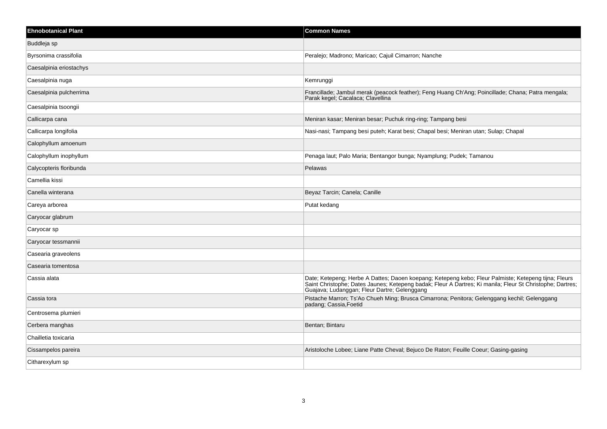| <b>Common Names</b>                                                                                                                                                                                                                                               |
|-------------------------------------------------------------------------------------------------------------------------------------------------------------------------------------------------------------------------------------------------------------------|
|                                                                                                                                                                                                                                                                   |
| Peralejo; Madrono; Maricao; Cajuil Cimarron; Nanche                                                                                                                                                                                                               |
|                                                                                                                                                                                                                                                                   |
| Kemrunggi                                                                                                                                                                                                                                                         |
| Francillade; Jambul merak (peacock feather); Feng Huang Ch'Ang; Poincillade; Chana; Patra mengala;<br>Parak kegel; Cacalaca; Clavellina                                                                                                                           |
|                                                                                                                                                                                                                                                                   |
| Meniran kasar; Meniran besar; Puchuk ring-ring; Tampang besi                                                                                                                                                                                                      |
| Nasi-nasi; Tampang besi puteh; Karat besi; Chapal besi; Meniran utan; Sulap; Chapal                                                                                                                                                                               |
|                                                                                                                                                                                                                                                                   |
| Penaga laut; Palo Maria; Bentangor bunga; Nyamplung; Pudek; Tamanou                                                                                                                                                                                               |
| Pelawas                                                                                                                                                                                                                                                           |
|                                                                                                                                                                                                                                                                   |
| Beyaz Tarcin; Canela; Canille                                                                                                                                                                                                                                     |
| Putat kedang                                                                                                                                                                                                                                                      |
|                                                                                                                                                                                                                                                                   |
|                                                                                                                                                                                                                                                                   |
|                                                                                                                                                                                                                                                                   |
|                                                                                                                                                                                                                                                                   |
|                                                                                                                                                                                                                                                                   |
| Date; Ketepeng; Herbe A Dattes; Daoen koepang; Ketepeng kebo; Fleur Palmiste; Ketepeng tijna; Fleurs<br>Saint Christophe; Dates Jaunes; Ketepeng badak; Fleur A Dartres; Ki manila; Fleur St Christophe; Dartres;<br>Guajava; Ludanggan; Fleur Dartre; Gelenggang |
| Pistache Marron; Ts'Ao Chueh Ming; Brusca Cimarrona; Penitora; Gelenggang kechil; Gelenggang<br>padang; Cassia, Foetid                                                                                                                                            |
|                                                                                                                                                                                                                                                                   |
| Bentan; Bintaru                                                                                                                                                                                                                                                   |
|                                                                                                                                                                                                                                                                   |
| Aristoloche Lobee; Liane Patte Cheval; Bejuco De Raton; Feuille Coeur; Gasing-gasing                                                                                                                                                                              |
|                                                                                                                                                                                                                                                                   |
|                                                                                                                                                                                                                                                                   |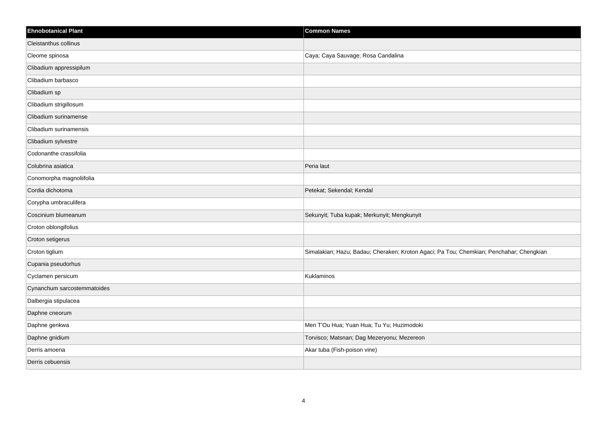| <b>Ehnobotanical Plant</b>  | <b>Common Names</b>                                                                     |
|-----------------------------|-----------------------------------------------------------------------------------------|
| Cleistanthus collinus       |                                                                                         |
| Cleome spinosa              | Caya; Caya Sauvage; Rosa Candalina                                                      |
| Clibadium appressipilum     |                                                                                         |
| Clibadium barbasco          |                                                                                         |
| Clibadium sp                |                                                                                         |
| Clibadium strigillosum      |                                                                                         |
| Clibadium surinamense       |                                                                                         |
| Clibadium surinamensis      |                                                                                         |
| Clibadium sylvestre         |                                                                                         |
| Codonanthe crassifolia      |                                                                                         |
| Colubrina asiatica          | Peria laut                                                                              |
| Conomorpha magnoliifolia    |                                                                                         |
| Cordia dichotoma            | Petekat; Sekendal; Kendal                                                               |
| Corypha umbraculifera       |                                                                                         |
| Coscinium blumeanum         | Sekunyit; Tuba kupak; Merkunyit; Mengkunyit                                             |
| Croton oblongifolius        |                                                                                         |
| Croton setigerus            |                                                                                         |
| Croton tiglium              | Simalakian; Hazu; Badau; Cheraken; Kroton Agaci; Pa Tou; Chemkian; Penchahar; Chengkian |
| Cupania pseudorhus          |                                                                                         |
| Cyclamen persicum           | Kuklaminos                                                                              |
| Cynanchum sarcostemmatoides |                                                                                         |
| Dalbergia stipulacea        |                                                                                         |
| Daphne cneorum              |                                                                                         |
| Daphne genkwa               | Men T'Ou Hua; Yuan Hua; Tu Yu; Huzimodoki                                               |
| Daphne gnidium              | Torvisco; Matsnan; Dag Mezeryonu; Mezereon                                              |
| Derris amoena               | Akar tuba (Fish-poison vine)                                                            |
| Derris cebuensis            |                                                                                         |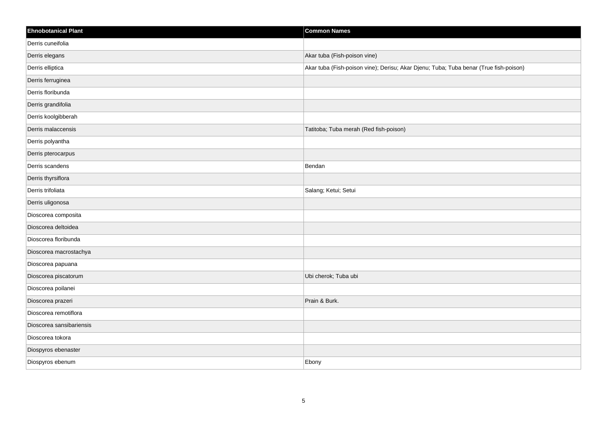| <b>Ehnobotanical Plant</b> | <b>Common Names</b>                                                                   |
|----------------------------|---------------------------------------------------------------------------------------|
| Derris cuneifolia          |                                                                                       |
| Derris elegans             | Akar tuba (Fish-poison vine)                                                          |
| Derris elliptica           | Akar tuba (Fish-poison vine); Derisu; Akar Djenu; Tuba; Tuba benar (True fish-poison) |
| Derris ferruginea          |                                                                                       |
| Derris floribunda          |                                                                                       |
| Derris grandifolia         |                                                                                       |
| Derris koolgibberah        |                                                                                       |
| Derris malaccensis         | Tatitoba; Tuba merah (Red fish-poison)                                                |
| Derris polyantha           |                                                                                       |
| Derris pterocarpus         |                                                                                       |
| Derris scandens            | Bendan                                                                                |
| Derris thyrsiflora         |                                                                                       |
| Derris trifoliata          | Salang; Ketui; Setui                                                                  |
| Derris uligonosa           |                                                                                       |
| Dioscorea composita        |                                                                                       |
| Dioscorea deltoidea        |                                                                                       |
| Dioscorea floribunda       |                                                                                       |
| Dioscorea macrostachya     |                                                                                       |
| Dioscorea papuana          |                                                                                       |
| Dioscorea piscatorum       | Ubi cherok; Tuba ubi                                                                  |
| Dioscorea poilanei         |                                                                                       |
| Dioscorea prazeri          | Prain & Burk.                                                                         |
| Dioscorea remotiflora      |                                                                                       |
| Dioscorea sansibariensis   |                                                                                       |
| Dioscorea tokora           |                                                                                       |
| Diospyros ebenaster        |                                                                                       |
| Diospyros ebenum           | Ebony                                                                                 |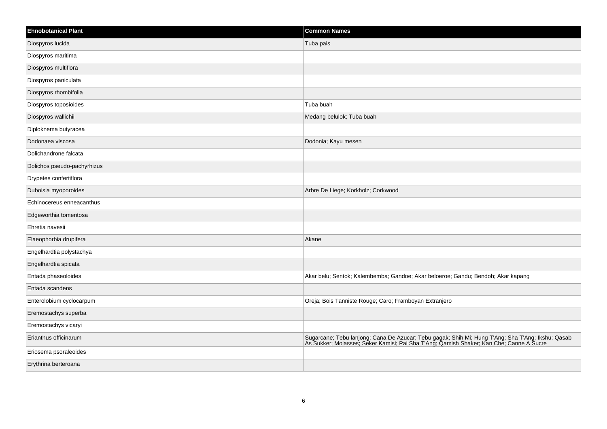| <b>Ehnobotanical Plant</b>  | <b>Common Names</b>                                                                                                                                                                          |
|-----------------------------|----------------------------------------------------------------------------------------------------------------------------------------------------------------------------------------------|
| Diospyros lucida            | Tuba pais                                                                                                                                                                                    |
| Diospyros maritima          |                                                                                                                                                                                              |
| Diospyros multiflora        |                                                                                                                                                                                              |
| Diospyros paniculata        |                                                                                                                                                                                              |
| Diospyros rhombifolia       |                                                                                                                                                                                              |
| Diospyros toposioides       | Tuba buah                                                                                                                                                                                    |
| Diospyros wallichii         | Medang belulok; Tuba buah                                                                                                                                                                    |
| Diploknema butyracea        |                                                                                                                                                                                              |
| Dodonaea viscosa            | Dodonia; Kayu mesen                                                                                                                                                                          |
| Dolichandrone falcata       |                                                                                                                                                                                              |
| Dolichos pseudo-pachyrhizus |                                                                                                                                                                                              |
| Drypetes confertiflora      |                                                                                                                                                                                              |
| Duboisia myoporoides        | Arbre De Liege; Korkholz; Corkwood                                                                                                                                                           |
| Echinocereus enneacanthus   |                                                                                                                                                                                              |
| Edgeworthia tomentosa       |                                                                                                                                                                                              |
| Ehretia navesii             |                                                                                                                                                                                              |
| Elaeophorbia drupifera      | Akane                                                                                                                                                                                        |
| Engelhardtia polystachya    |                                                                                                                                                                                              |
| Engelhardtia spicata        |                                                                                                                                                                                              |
| Entada phaseoloides         | Akar belu; Sentok; Kalembemba; Gandoe; Akar beloeroe; Gandu; Bendoh; Akar kapang                                                                                                             |
| Entada scandens             |                                                                                                                                                                                              |
| Enterolobium cyclocarpum    | Oreja; Bois Tanniste Rouge; Caro; Framboyan Extranjero                                                                                                                                       |
| Eremostachys superba        |                                                                                                                                                                                              |
| Eremostachys vicaryi        |                                                                                                                                                                                              |
| Erianthus officinarum       | Sugarcane; Tebu lanjong; Cana De Azucar; Tebu gagak; Shih Mi; Hung T'Ang; Sha T'Ang; Ikshu; Qasab<br>As Sukker; Molasses; Seker Kamisi; Pai Sha T'Ang; Qamish Shaker; Kan Che; Canne A Sucre |
| Eriosema psoraleoides       |                                                                                                                                                                                              |
| Erythrina berteroana        |                                                                                                                                                                                              |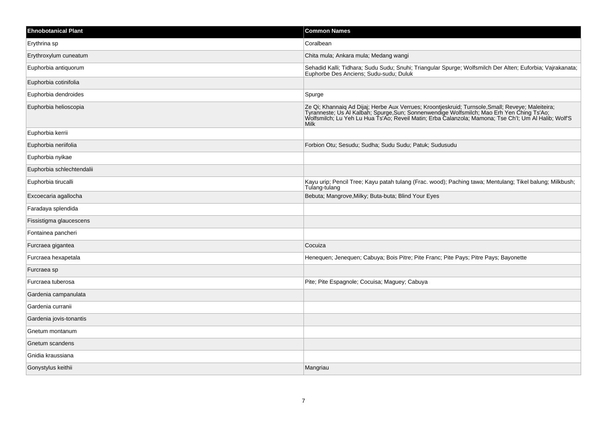| <b>Ehnobotanical Plant</b> | <b>Common Names</b>                                                                                                                                                                                                                                                                                                   |
|----------------------------|-----------------------------------------------------------------------------------------------------------------------------------------------------------------------------------------------------------------------------------------------------------------------------------------------------------------------|
| Erythrina sp               | Coralbean                                                                                                                                                                                                                                                                                                             |
| Erythroxylum cuneatum      | Chita mula; Ankara mula; Medang wangi                                                                                                                                                                                                                                                                                 |
| Euphorbia antiquorum       | Sehadid Kalli; Tidhara; Sudu Sudu; Snuhi; Triangular Spurge; Wolfsmilch Der Alten; Euforbia; Vajrakanata;<br>Euphorbe Des Anciens; Sudu-sudu; Duluk                                                                                                                                                                   |
| Euphorbia cotinifolia      |                                                                                                                                                                                                                                                                                                                       |
| Euphorbia dendroides       | Spurge                                                                                                                                                                                                                                                                                                                |
| Euphorbia helioscopia      | Ze Qi; Khannaiq Ad Dijaj; Herbe Aux Verrues; Kroontjeskruid; Turnsole, Small; Reveye; Maleiteira;<br>Tyranneste; Us Al Kalbah; Spurge, Sun; Sonnenwendige Wolfsmilch; Mao Erh Yen Ching Ts'Ao;<br>Wolfsmilch; Lu Yeh Lu Hua Ts'Ao; Reveil Matin; Erba Calanzola; Mamona; Tse Ch'l; Um Al Halib; Wolf'S<br><b>Milk</b> |
| Euphorbia kerrii           |                                                                                                                                                                                                                                                                                                                       |
| Euphorbia neriifolia       | Forbion Otu; Sesudu; Sudha; Sudu Sudu; Patuk; Sudusudu                                                                                                                                                                                                                                                                |
| Euphorbia nyikae           |                                                                                                                                                                                                                                                                                                                       |
| Euphorbia schlechtendalii  |                                                                                                                                                                                                                                                                                                                       |
| Euphorbia tirucalli        | Kayu urip; Pencil Tree; Kayu patah tulang (Frac. wood); Paching tawa; Mentulang; Tikel balung; Milkbush;<br>Tulang-tulang                                                                                                                                                                                             |
| Excoecaria agallocha       | Bebuta; Mangrove, Milky; Buta-buta; Blind Your Eyes                                                                                                                                                                                                                                                                   |
| Faradaya splendida         |                                                                                                                                                                                                                                                                                                                       |
| Fissistigma glaucescens    |                                                                                                                                                                                                                                                                                                                       |
| Fontainea pancheri         |                                                                                                                                                                                                                                                                                                                       |
| Furcraea gigantea          | Cocuiza                                                                                                                                                                                                                                                                                                               |
| Furcraea hexapetala        | Henequen; Jenequen; Cabuya; Bois Pitre; Pite Franc; Pite Pays; Pitre Pays; Bayonette                                                                                                                                                                                                                                  |
| Furcraea sp                |                                                                                                                                                                                                                                                                                                                       |
| Furcraea tuberosa          | Pite; Pite Espagnole; Cocuisa; Maguey; Cabuya                                                                                                                                                                                                                                                                         |
| Gardenia campanulata       |                                                                                                                                                                                                                                                                                                                       |
| Gardenia curranii          |                                                                                                                                                                                                                                                                                                                       |
| Gardenia jovis-tonantis    |                                                                                                                                                                                                                                                                                                                       |
| Gnetum montanum            |                                                                                                                                                                                                                                                                                                                       |
| Gnetum scandens            |                                                                                                                                                                                                                                                                                                                       |
| Gnidia kraussiana          |                                                                                                                                                                                                                                                                                                                       |
| Gonystylus keithii         | Mangriau                                                                                                                                                                                                                                                                                                              |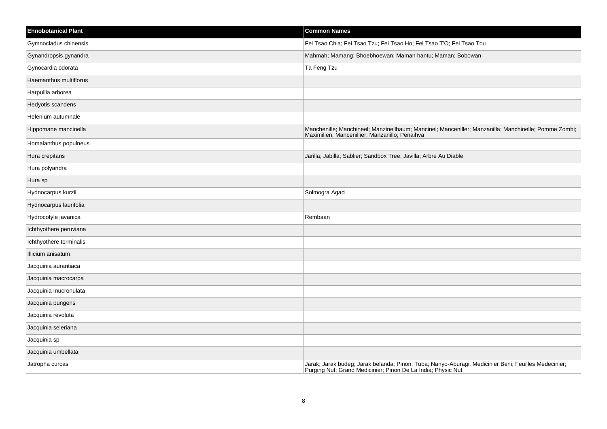| <b>Ehnobotanical Plant</b> | <b>Common Names</b>                                                                                                                                                  |
|----------------------------|----------------------------------------------------------------------------------------------------------------------------------------------------------------------|
| Gymnocladus chinensis      | Fei Tsao Chia; Fei Tsao Tzu; Fei Tsao Ho; Fei Tsao T'O; Fei Tsao Tou                                                                                                 |
| Gynandropsis gynandra      | Mahmah; Mamang; Bhoebhoewan; Maman hantu; Maman; Bobowan                                                                                                             |
| Gynocardia odorata         | Ta Feng Tzu                                                                                                                                                          |
| Haemanthus multiflorus     |                                                                                                                                                                      |
| Harpullia arborea          |                                                                                                                                                                      |
| Hedyotis scandens          |                                                                                                                                                                      |
| Helenium autumnale         |                                                                                                                                                                      |
| Hippomane mancinella       | Manchenille; Manchineel; Manzinellbaum; Mancinel; Manceniller; Manzanilla; Manchinelle; Pomme Zombi;<br>Maximilien; Mancenillier; Manzanillo; Penaihva               |
| Homalanthus populneus      |                                                                                                                                                                      |
| Hura crepitans             | Jarilla; Jabilla; Sablier; Sandbox Tree; Javilla; Arbre Au Diable                                                                                                    |
| Hura polyandra             |                                                                                                                                                                      |
| Hura sp                    |                                                                                                                                                                      |
| Hydnocarpus kurzii         | Solmogra Agaci                                                                                                                                                       |
| Hydnocarpus laurifolia     |                                                                                                                                                                      |
| Hydrocotyle javanica       | Rembaan                                                                                                                                                              |
| Ichthyothere peruviana     |                                                                                                                                                                      |
| Ichthyothere terminalis    |                                                                                                                                                                      |
| Illicium anisatum          |                                                                                                                                                                      |
| Jacquinia aurantiaca       |                                                                                                                                                                      |
| Jacquinia macrocarpa       |                                                                                                                                                                      |
| Jacquinia mucronulata      |                                                                                                                                                                      |
| Jacquinia pungens          |                                                                                                                                                                      |
| Jacquinia revoluta         |                                                                                                                                                                      |
| Jacquinia seleriana        |                                                                                                                                                                      |
| Jacquinia sp               |                                                                                                                                                                      |
| Jacquinia umbellata        |                                                                                                                                                                      |
| Jatropha curcas            | Jarak; Jarak budeg; Jarak belanda; Pinon; Tuba; Nanyo-Aburagi; Medicinier Beni; Feuilles Medecinier;<br>Purging Nut; Grand Medicinier; Pinon De La India; Physic Nut |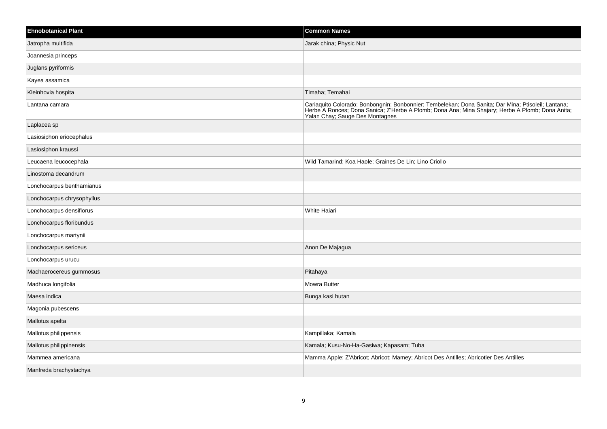| <b>Ehnobotanical Plant</b> | <b>Common Names</b>                                                                                                                                                                                                                  |
|----------------------------|--------------------------------------------------------------------------------------------------------------------------------------------------------------------------------------------------------------------------------------|
| Jatropha multifida         | Jarak china; Physic Nut                                                                                                                                                                                                              |
| Joannesia princeps         |                                                                                                                                                                                                                                      |
| Juglans pyriformis         |                                                                                                                                                                                                                                      |
| Kayea assamica             |                                                                                                                                                                                                                                      |
| Kleinhovia hospita         | Timaha; Temahai                                                                                                                                                                                                                      |
| Lantana camara             | Cariaquito Colorado; Bonbongnin; Bonbonnier; Tembelekan; Dona Sanita; Dar Mina; Ptisoleil; Lantana;<br>Herbe A Ronces; Dona Sanica; Z'Herbe A Plomb; Dona Ana; Mina Shajary; Herbe A Plomb; Dona Anita;<br>Yalan Chay; Sauge Des Mon |
| Laplacea sp                |                                                                                                                                                                                                                                      |
| Lasiosiphon eriocephalus   |                                                                                                                                                                                                                                      |
| Lasiosiphon kraussi        |                                                                                                                                                                                                                                      |
| Leucaena leucocephala      | Wild Tamarind; Koa Haole; Graines De Lin; Lino Criollo                                                                                                                                                                               |
| Linostoma decandrum        |                                                                                                                                                                                                                                      |
| Lonchocarpus benthamianus  |                                                                                                                                                                                                                                      |
| Lonchocarpus chrysophyllus |                                                                                                                                                                                                                                      |
| Lonchocarpus densiflorus   | White Haiari                                                                                                                                                                                                                         |
| Lonchocarpus floribundus   |                                                                                                                                                                                                                                      |
| Lonchocarpus martynii      |                                                                                                                                                                                                                                      |
| Lonchocarpus sericeus      | Anon De Majagua                                                                                                                                                                                                                      |
| Lonchocarpus urucu         |                                                                                                                                                                                                                                      |
| Machaerocereus gummosus    | Pitahaya                                                                                                                                                                                                                             |
| Madhuca longifolia         | <b>Mowra Butter</b>                                                                                                                                                                                                                  |
| Maesa indica               | Bunga kasi hutan                                                                                                                                                                                                                     |
| Magonia pubescens          |                                                                                                                                                                                                                                      |
| Mallotus apelta            |                                                                                                                                                                                                                                      |
| Mallotus philippensis      | Kampillaka; Kamala                                                                                                                                                                                                                   |
| Mallotus philippinensis    | Kamala; Kusu-No-Ha-Gasiwa; Kapasam; Tuba                                                                                                                                                                                             |
| Mammea americana           | Mamma Apple; Z'Abricot; Abricot; Mamey; Abricot Des Antilles; Abricotier Des Antilles                                                                                                                                                |
| Manfreda brachystachya     |                                                                                                                                                                                                                                      |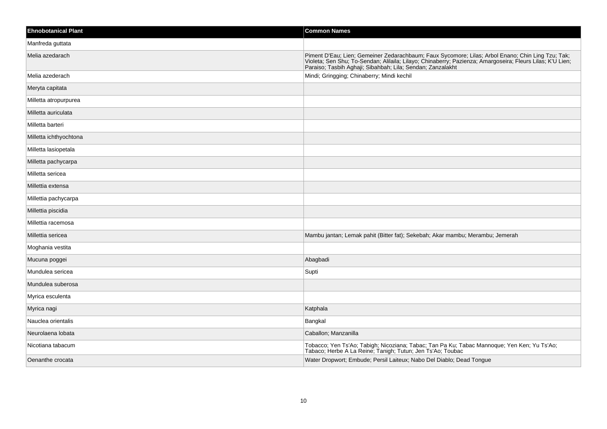| <b>Ehnobotanical Plant</b> | <b>Common Names</b>                                                                                                                                                                                                            |
|----------------------------|--------------------------------------------------------------------------------------------------------------------------------------------------------------------------------------------------------------------------------|
| Manfreda guttata           |                                                                                                                                                                                                                                |
| Melia azedarach            | Piment D'Eau; Lien; Gemeiner Zedarachbaum; Faux Sycomore; Lilas; Arbol Enano; Chin Ling Tzu; Tak; Violeta; Sen Shu; To-Sendan; Alilaila; Lilayo; Chinaberry; Pazienza; Amargoseira; Fleurs Lilas; K'U Lien; Paraiso; Tasbih Ag |
| Melia azederach            | Mindi; Gringging; Chinaberry; Mindi kechil                                                                                                                                                                                     |
| Meryta capitata            |                                                                                                                                                                                                                                |
| Milletta atropurpurea      |                                                                                                                                                                                                                                |
| Milletta auriculata        |                                                                                                                                                                                                                                |
| Milletta barteri           |                                                                                                                                                                                                                                |
| Milletta ichthyochtona     |                                                                                                                                                                                                                                |
| Milletta lasiopetala       |                                                                                                                                                                                                                                |
| Milletta pachycarpa        |                                                                                                                                                                                                                                |
| Milletta sericea           |                                                                                                                                                                                                                                |
| Millettia extensa          |                                                                                                                                                                                                                                |
| Millettia pachycarpa       |                                                                                                                                                                                                                                |
| Millettia piscidia         |                                                                                                                                                                                                                                |
| Millettia racemosa         |                                                                                                                                                                                                                                |
| Millettia sericea          | Mambu jantan; Lemak pahit (Bitter fat); Sekebah; Akar mambu; Merambu; Jemerah                                                                                                                                                  |
| Moghania vestita           |                                                                                                                                                                                                                                |
| Mucuna poggei              | Abagbadi                                                                                                                                                                                                                       |
| Mundulea sericea           | Supti                                                                                                                                                                                                                          |
| Mundulea suberosa          |                                                                                                                                                                                                                                |
| Myrica esculenta           |                                                                                                                                                                                                                                |
| Myrica nagi                | Katphala                                                                                                                                                                                                                       |
| Nauclea orientalis         | Bangkal                                                                                                                                                                                                                        |
| Neurolaena lobata          | Caballon; Manzanilla                                                                                                                                                                                                           |
| Nicotiana tabacum          | Tobacco; Yen Ts'Ao; Tabigh; Nicoziana; Tabac; Tan Pa Ku; Tabac Mannoque; Yen Ken; Yu Ts'Ao; Tabaco; Herbe A La Reine; Tanigh; Tutun; Jen Ts'Ao; Toubac                                                                         |
| Oenanthe crocata           | Water Dropwort; Embude; Persil Laiteux; Nabo Del Diablo; Dead Tongue                                                                                                                                                           |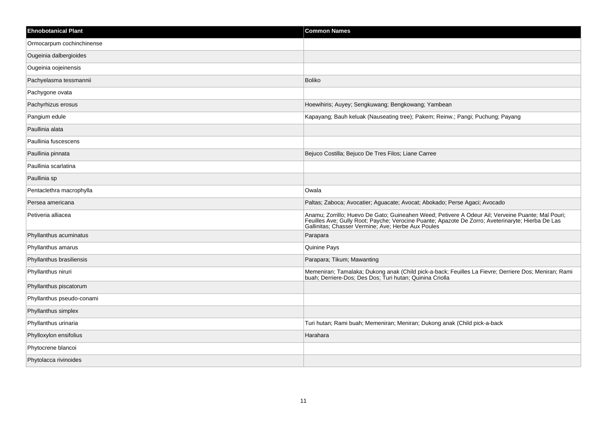| <b>Ehnobotanical Plant</b> | <b>Common Names</b>                                                                                                                                                                                                                                          |
|----------------------------|--------------------------------------------------------------------------------------------------------------------------------------------------------------------------------------------------------------------------------------------------------------|
| Ormocarpum cochinchinense  |                                                                                                                                                                                                                                                              |
| Ougeinia dalbergioides     |                                                                                                                                                                                                                                                              |
| Ougeinia oojeinensis       |                                                                                                                                                                                                                                                              |
| Pachyelasma tessmannii     | <b>Boliko</b>                                                                                                                                                                                                                                                |
| Pachygone ovata            |                                                                                                                                                                                                                                                              |
| Pachyrhizus erosus         | Hoewihiris; Auyey; Sengkuwang; Bengkowang; Yambean                                                                                                                                                                                                           |
| Pangium edule              | Kapayang; Bauh keluak (Nauseating tree); Pakem; Reinw.; Pangi; Puchung; Payang                                                                                                                                                                               |
| Paullinia alata            |                                                                                                                                                                                                                                                              |
| Paullinia fuscescens       |                                                                                                                                                                                                                                                              |
| Paullinia pinnata          | Bejuco Costilla; Bejuco De Tres Filos; Liane Carree                                                                                                                                                                                                          |
| Paullinia scarlatina       |                                                                                                                                                                                                                                                              |
| Paullinia sp               |                                                                                                                                                                                                                                                              |
| Pentaclethra macrophylla   | Owala                                                                                                                                                                                                                                                        |
| Persea americana           | Paltas; Zaboca; Avocatier; Aguacate; Avocat; Abokado; Perse Agaci; Avocado                                                                                                                                                                                   |
| Petiveria alliacea         | Anamu; Zorrillo; Huevo De Gato; Guineahen Weed; Petivere A Odeur Ail; Verveine Puante; Mal Pouri;<br>Feuilles Ave; Gully Root; Payche; Verocine Puante; Apazote De Zorro; Aveterinaryte; Hierba De Las<br>Gallinitas; Chasser Vermine; Ave; Herbe Aux Poules |
| Phyllanthus acuminatus     | Parapara                                                                                                                                                                                                                                                     |
| Phyllanthus amarus         | <b>Quinine Pays</b>                                                                                                                                                                                                                                          |
| Phyllanthus brasiliensis   | Parapara; Tikum; Mawanting                                                                                                                                                                                                                                   |
| Phyllanthus niruri         | Memeniran; Tamalaka; Dukong anak (Child pick-a-back; Feuilles La Fievre; Derriere Dos; Meniran; Rami<br>buah; Derriere-Dos; Des Dos; Turi hutan; Quinina Criolla                                                                                             |
| Phyllanthus piscatorum     |                                                                                                                                                                                                                                                              |
| Phyllanthus pseudo-conami  |                                                                                                                                                                                                                                                              |
| Phyllanthus simplex        |                                                                                                                                                                                                                                                              |
| Phyllanthus urinaria       | Turi hutan; Rami buah; Memeniran; Meniran; Dukong anak (Child pick-a-back                                                                                                                                                                                    |
| Phylloxylon ensifolius     | Harahara                                                                                                                                                                                                                                                     |
| Phytocrene blancoi         |                                                                                                                                                                                                                                                              |
| Phytolacca rivinoides      |                                                                                                                                                                                                                                                              |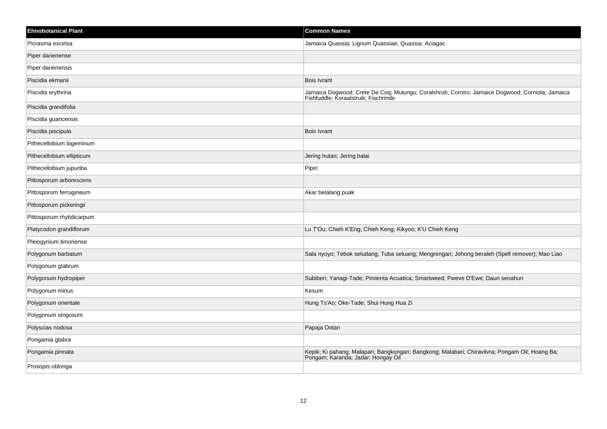| <b>Ehnobotanical Plant</b> | <b>Common Names</b>                                                                                                                     |
|----------------------------|-----------------------------------------------------------------------------------------------------------------------------------------|
| Picrasma excelsa           | Jamaica Quassia; Lignum Quassiae; Quassia; Aciagac                                                                                      |
| Piper darienense           |                                                                                                                                         |
| Piper darienensis          |                                                                                                                                         |
| Piscidia ekmanii           | <b>Bois Ivrant</b>                                                                                                                      |
| Piscidia erythrina         | Jamaica Dogwood; Crete De Coq; Mulungu; Coralshrub; Corniro; Jamaice Dogwood; Corniola; Jamaica<br>Fishfuddle, Koraalstruik, Fischrinde |
| Piscidia grandifolia       |                                                                                                                                         |
| Piscidia guaricensis       |                                                                                                                                         |
| Piscidia piscipula         | <b>Bois Ivrant</b>                                                                                                                      |
| Pithecellobium bigeminum   |                                                                                                                                         |
| Pithecellobium ellipticum  | Jering hutan; Jering balai                                                                                                              |
| Pithecellobium jupunba     | Pipiri                                                                                                                                  |
| Pittosporum arborescens    |                                                                                                                                         |
| Pittosporum ferrugineum    | Akar belalang puak                                                                                                                      |
| Pittosporum pickeringii    |                                                                                                                                         |
| Pittosporum rhytidicarpum  |                                                                                                                                         |
| Platycodon grandiflorum    | Lu T'Ou; Chieh K'Eng; Chieh Keng; Kikyoo; K'U Chieh Keng                                                                                |
| Pleiogynium timoriense     |                                                                                                                                         |
| Polygonum barbatum         | Sala nyoyo; Tebok seludang; Tuba seluang; Mengrengan; Johong beraleh (Spell remover); Mao Liao                                          |
| Polygonum glabrum          |                                                                                                                                         |
| Polygonum hydropiper       | Subiberi; Yanagi-Tade; Pimienta Acuatica; Smartweed; Pweve D'Ewe; Daun senahun                                                          |
| Polygonum minus            | Kesum                                                                                                                                   |
| Polygonum orientale        | Hung Ts'Ao; Oke-Tade; Shui Hung Hua Zi                                                                                                  |
| Polygonum strigosum        |                                                                                                                                         |
| Polyscias nodosa           | Papaja Ootan                                                                                                                            |
| Pongamia glabra            |                                                                                                                                         |
| Pongamia pinnata           | Kepik; Ki pahang; Malapari; Bangkongan; Bangkong; Malabari; Chiravilvra; Pongam Oil; Hoang Ba;<br>Pongam; Karanda; Jadar; Hongay Oil    |
| Prosopis oblonga           |                                                                                                                                         |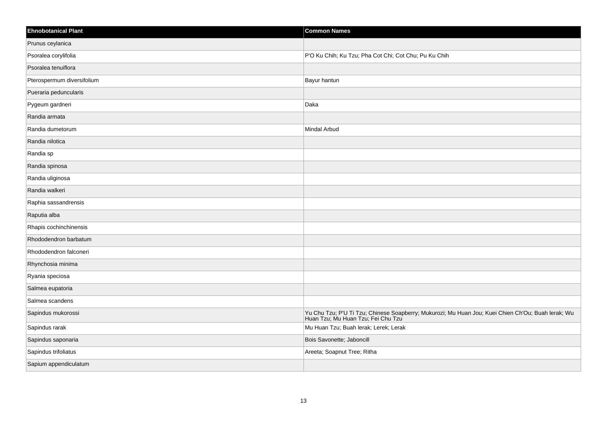| <b>Ehnobotanical Plant</b> | <b>Common Names</b>                                                                                                                      |
|----------------------------|------------------------------------------------------------------------------------------------------------------------------------------|
| Prunus ceylanica           |                                                                                                                                          |
| Psoralea corylifolia       | P'O Ku Chih; Ku Tzu; Pha Cot Chi; Cot Chu; Pu Ku Chih                                                                                    |
| Psoralea tenuiflora        |                                                                                                                                          |
| Pterospermum diversifolium | Bayur hantun                                                                                                                             |
| Pueraria peduncularis      |                                                                                                                                          |
| Pygeum gardneri            | Daka                                                                                                                                     |
| Randia armata              |                                                                                                                                          |
| Randia dumetorum           | Mindal Arbud                                                                                                                             |
| Randia nilotica            |                                                                                                                                          |
| Randia sp                  |                                                                                                                                          |
| Randia spinosa             |                                                                                                                                          |
| Randia uliginosa           |                                                                                                                                          |
| Randia walkeri             |                                                                                                                                          |
| Raphia sassandrensis       |                                                                                                                                          |
| Raputia alba               |                                                                                                                                          |
| Rhapis cochinchinensis     |                                                                                                                                          |
| Rhododendron barbatum      |                                                                                                                                          |
| Rhododendron falconeri     |                                                                                                                                          |
| Rhynchosia minima          |                                                                                                                                          |
| Ryania speciosa            |                                                                                                                                          |
| Salmea eupatoria           |                                                                                                                                          |
| Salmea scandens            |                                                                                                                                          |
| Sapindus mukorossi         | Yu Chu Tzu; P'U Ti Tzu; Chinese Soapberry; Mukurozi; Mu Huan Jou; Kuei Chien Ch'Ou; Buah lerak; Wu<br>Huan Tzu; Mu Huan Tzu; Fei Chu Tzu |
| Sapindus rarak             | Mu Huan Tzu; Buah lerak; Lerek; Lerak                                                                                                    |
| Sapindus saponaria         | Bois Savonette; Jaboncill                                                                                                                |
| Sapindus trifoliatus       | Areeta; Soapnut Tree; Ritha                                                                                                              |
| Sapium appendiculatum      |                                                                                                                                          |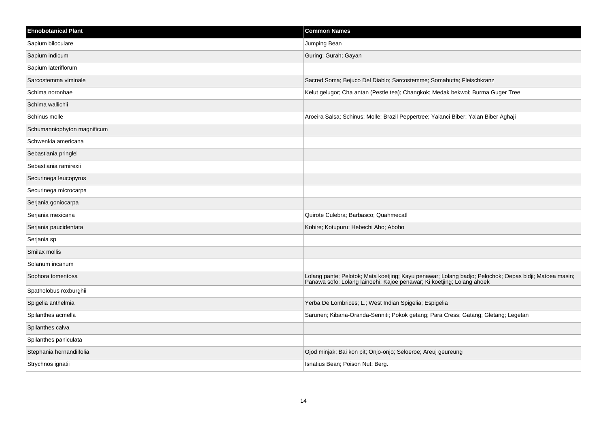| <b>Ehnobotanical Plant</b>  | <b>Common Names</b>                                                                                                                                                              |
|-----------------------------|----------------------------------------------------------------------------------------------------------------------------------------------------------------------------------|
| Sapium biloculare           | Jumping Bean                                                                                                                                                                     |
| Sapium indicum              | Guring; Gurah; Gayan                                                                                                                                                             |
| Sapium lateriflorum         |                                                                                                                                                                                  |
| Sarcostemma viminale        | Sacred Soma; Bejuco Del Diablo; Sarcostemme; Somabutta; Fleischkranz                                                                                                             |
| Schima noronhae             | Kelut gelugor; Cha antan (Pestle tea); Changkok; Medak bekwoi; Burma Guger Tree                                                                                                  |
| Schima wallichii            |                                                                                                                                                                                  |
| Schinus molle               | Aroeira Salsa; Schinus; Molle; Brazil Peppertree; Yalanci Biber; Yalan Biber Aghaji                                                                                              |
| Schumanniophyton magnificum |                                                                                                                                                                                  |
| Schwenkia americana         |                                                                                                                                                                                  |
| Sebastiania pringlei        |                                                                                                                                                                                  |
| Sebastiania ramirexii       |                                                                                                                                                                                  |
| Securinega leucopyrus       |                                                                                                                                                                                  |
| Securinega microcarpa       |                                                                                                                                                                                  |
| Serjania goniocarpa         |                                                                                                                                                                                  |
| Serjania mexicana           | Quirote Culebra; Barbasco; Quahmecatl                                                                                                                                            |
| Serjania paucidentata       | Kohire; Kotupuru; Hebechi Abo; Aboho                                                                                                                                             |
| Serjania sp                 |                                                                                                                                                                                  |
| Smilax mollis               |                                                                                                                                                                                  |
| Solanum incanum             |                                                                                                                                                                                  |
| Sophora tomentosa           | Lolang pante; Pelotok; Mata koetjing; Kayu penawar; Lolang badjo; Pelochok; Oepas bidji; Matoea masin;<br>Panawa sofo; Lolang lainoehi; Kajoe penawar; Ki koetjing; Lolang ahoek |
| Spatholobus roxburghii      |                                                                                                                                                                                  |
| Spigelia anthelmia          | Yerba De Lombrices; L.; West Indian Spigelia; Espigelia                                                                                                                          |
| Spilanthes acmella          | Sarunen; Kibana-Oranda-Senniti; Pokok getang; Para Cress; Gatang; Gletang; Legetan                                                                                               |
| Spilanthes calva            |                                                                                                                                                                                  |
| Spilanthes paniculata       |                                                                                                                                                                                  |
| Stephania hernandiifolia    | Ojod minjak; Bai kon pit; Onjo-onjo; Seloeroe; Areuj geureung                                                                                                                    |
| Strychnos ignatii           | Isnatius Bean; Poison Nut; Berg.                                                                                                                                                 |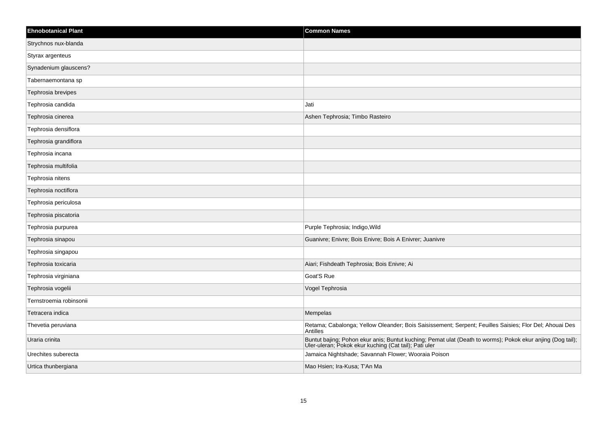| <b>Ehnobotanical Plant</b> | <b>Common Names</b>                                                                                                                                    |
|----------------------------|--------------------------------------------------------------------------------------------------------------------------------------------------------|
| Strychnos nux-blanda       |                                                                                                                                                        |
| Styrax argenteus           |                                                                                                                                                        |
| Synadenium glauscens?      |                                                                                                                                                        |
| Tabernaemontana sp         |                                                                                                                                                        |
| Tephrosia brevipes         |                                                                                                                                                        |
| Tephrosia candida          | Jati                                                                                                                                                   |
| Tephrosia cinerea          | Ashen Tephrosia; Timbo Rasteiro                                                                                                                        |
| Tephrosia densiflora       |                                                                                                                                                        |
| Tephrosia grandiflora      |                                                                                                                                                        |
| Tephrosia incana           |                                                                                                                                                        |
| Tephrosia multifolia       |                                                                                                                                                        |
| Tephrosia nitens           |                                                                                                                                                        |
| Tephrosia noctiflora       |                                                                                                                                                        |
| Tephrosia periculosa       |                                                                                                                                                        |
| Tephrosia piscatoria       |                                                                                                                                                        |
| Tephrosia purpurea         | Purple Tephrosia; Indigo, Wild                                                                                                                         |
| Tephrosia sinapou          | Guanivre; Enivre; Bois Enivre; Bois A Enivrer; Juanivre                                                                                                |
| Tephrosia singapou         |                                                                                                                                                        |
| Tephrosia toxicaria        | Aiari; Fishdeath Tephrosia; Bois Enivre; Ai                                                                                                            |
| Tephrosia virginiana       | Goat'S Rue                                                                                                                                             |
| Tephrosia vogelii          | Vogel Tephrosia                                                                                                                                        |
| Ternstroemia robinsonii    |                                                                                                                                                        |
| Tetracera indica           | Mempelas                                                                                                                                               |
| Thevetia peruviana         | Retama; Cabalonga; Yellow Oleander; Bois Saisissement; Serpent; Feuilles Saisies; Flor Del; Ahouai Des<br>Antilles                                     |
| Uraria crinita             | Buntut bajing; Pohon ekur anis; Buntut kuching; Pemat ulat (Death to worms); Pokok ekur anjing (Dog tail); Uler-uleran; Pokok ekur kuching (Cat tail); |
| Urechites suberecta        | Jamaica Nightshade; Savannah Flower; Wooraia Poison                                                                                                    |
| Urtica thunbergiana        | Mao Hsien; Ira-Kusa; T'An Ma                                                                                                                           |